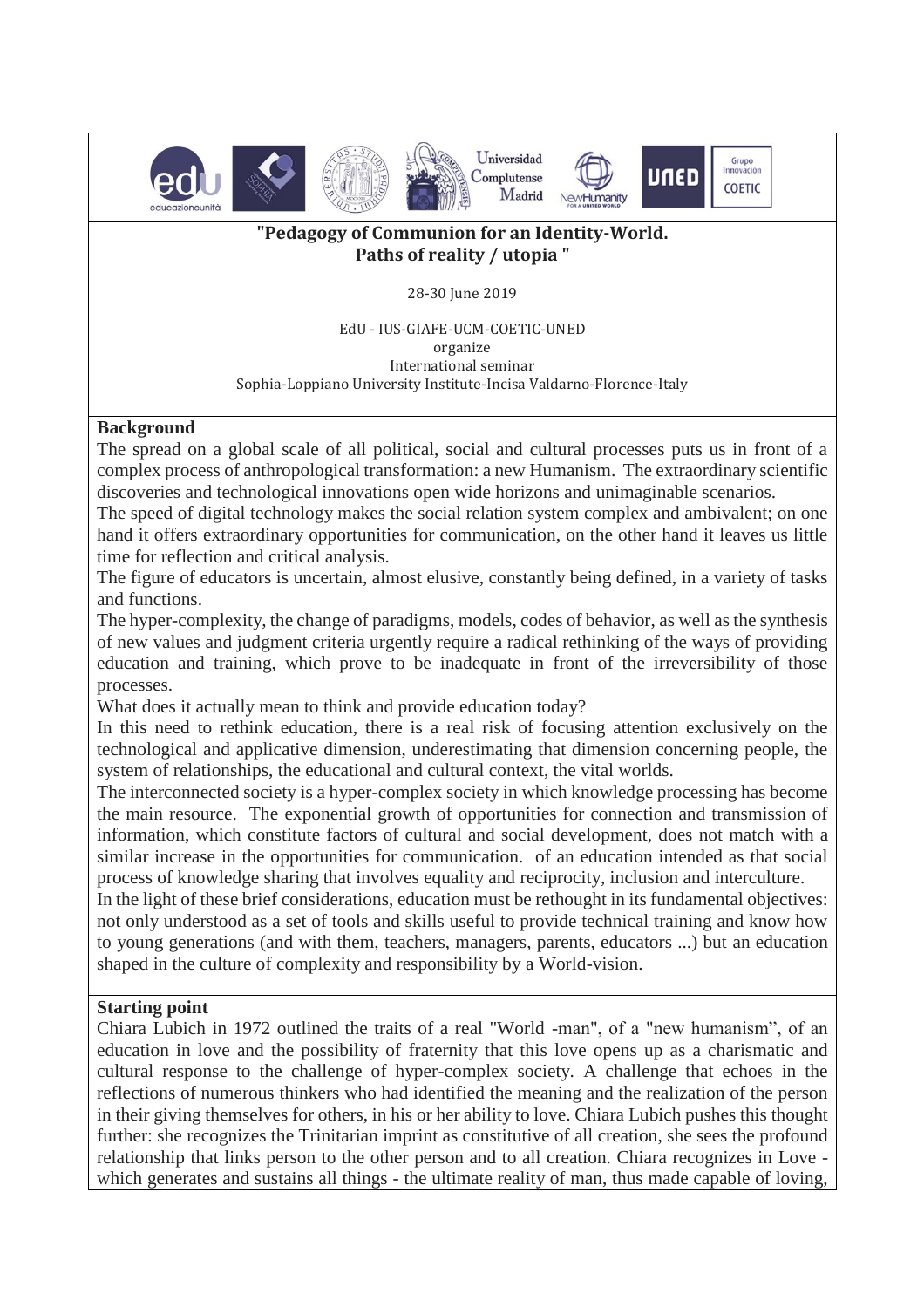

## **"Pedagogy of Communion for an Identity-World. Paths of reality / utopia "**

#### 28-30 June 2019

EdU - IUS-GIAFE-UCM-COETIC-UNED organize International seminar Sophia-Loppiano University Institute-Incisa Valdarno-Florence-Italy

### **Background**

The spread on a global scale of all political, social and cultural processes puts us in front of a complex process of anthropological transformation: a new Humanism. The extraordinary scientific discoveries and technological innovations open wide horizons and unimaginable scenarios.

The speed of digital technology makes the social relation system complex and ambivalent; on one hand it offers extraordinary opportunities for communication, on the other hand it leaves us little time for reflection and critical analysis.

The figure of educators is uncertain, almost elusive, constantly being defined, in a variety of tasks and functions.

The hyper-complexity, the change of paradigms, models, codes of behavior, as well as the synthesis of new values and judgment criteria urgently require a radical rethinking of the ways of providing education and training, which prove to be inadequate in front of the irreversibility of those processes.

What does it actually mean to think and provide education today?

In this need to rethink education, there is a real risk of focusing attention exclusively on the technological and applicative dimension, underestimating that dimension concerning people, the system of relationships, the educational and cultural context, the vital worlds.

The interconnected society is a hyper-complex society in which knowledge processing has become the main resource. The exponential growth of opportunities for connection and transmission of information, which constitute factors of cultural and social development, does not match with a similar increase in the opportunities for communication. of an education intended as that social process of knowledge sharing that involves equality and reciprocity, inclusion and interculture.

In the light of these brief considerations, education must be rethought in its fundamental objectives: not only understood as a set of tools and skills useful to provide technical training and know how to young generations (and with them, teachers, managers, parents, educators ...) but an education shaped in the culture of complexity and responsibility by a World-vision.

### **Starting point**

Chiara Lubich in 1972 outlined the traits of a real "World -man", of a "new humanism", of an education in love and the possibility of fraternity that this love opens up as a charismatic and cultural response to the challenge of hyper-complex society. A challenge that echoes in the reflections of numerous thinkers who had identified the meaning and the realization of the person in their giving themselves for others, in his or her ability to love. Chiara Lubich pushes this thought further: she recognizes the Trinitarian imprint as constitutive of all creation, she sees the profound relationship that links person to the other person and to all creation. Chiara recognizes in Love which generates and sustains all things - the ultimate reality of man, thus made capable of loving,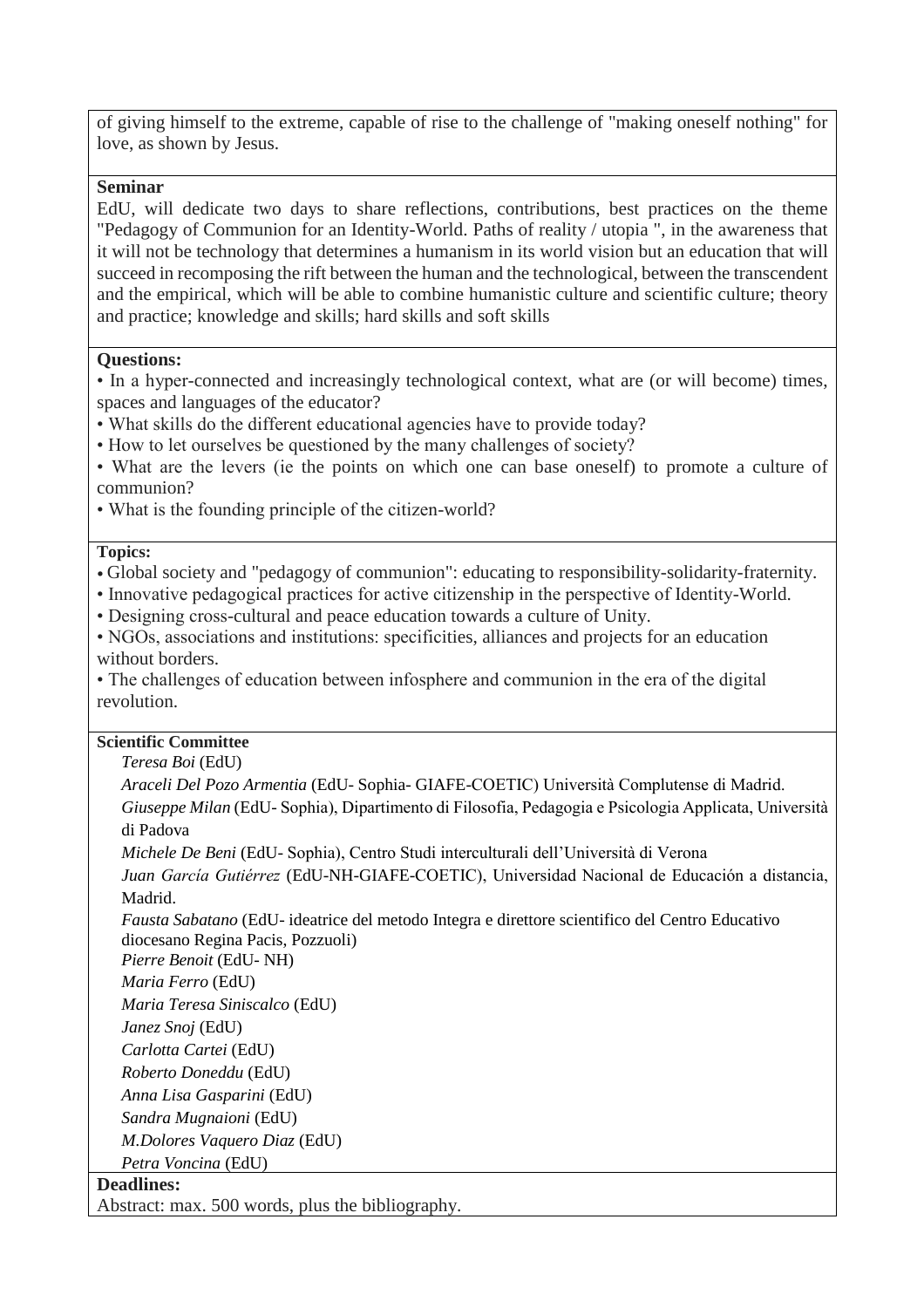of giving himself to the extreme, capable of rise to the challenge of "making oneself nothing" for love, as shown by Jesus.

### **Seminar**

EdU, will dedicate two days to share reflections, contributions, best practices on the theme "Pedagogy of Communion for an Identity-World. Paths of reality / utopia ", in the awareness that it will not be technology that determines a humanism in its world vision but an education that will succeed in recomposing the rift between the human and the technological, between the transcendent and the empirical, which will be able to combine humanistic culture and scientific culture; theory and practice; knowledge and skills; hard skills and soft skills

#### **Questions:**

• In a hyper-connected and increasingly technological context, what are (or will become) times, spaces and languages of the educator?

- What skills do the different educational agencies have to provide today?
- How to let ourselves be questioned by the many challenges of society?

• What are the levers (ie the points on which one can base oneself) to promote a culture of communion?

• What is the founding principle of the citizen-world?

### **Topics:**

- Global society and "pedagogy of communion": educating to responsibility-solidarity-fraternity.
- Innovative pedagogical practices for active citizenship in the perspective of Identity-World.

• Designing cross-cultural and peace education towards a culture of Unity.

• NGOs, associations and institutions: specificities, alliances and projects for an education without borders.

• The challenges of education between infosphere and communion in the era of the digital revolution.

# **Scientific Committee**

*Teresa Boi* (EdU)

*Araceli Del Pozo Armentia* (EdU- Sophia- GIAFE-COETIC) Università Complutense di Madrid. *Giuseppe Milan* (EdU- Sophia), Dipartimento di Filosofia, Pedagogia e Psicologia Applicata, Università di Padova

*Michele De Beni* (EdU- Sophia), Centro Studi interculturali dell'Università di Verona

*Juan García Gutiérrez* (EdU-NH-GIAFE-COETIC), Universidad Nacional de Educación a distancia, Madrid.

*Fausta Sabatano* (EdU- ideatrice del metodo Integra e direttore scientifico del Centro Educativo diocesano Regina Pacis, Pozzuoli)

*Pierre Benoit* (EdU- NH)

*Maria Ferro* (EdU)

*Maria Teresa Siniscalco* (EdU)

*Janez Snoj* (EdU)

*Carlotta Cartei* (EdU)

*Roberto Doneddu* (EdU)

*Anna Lisa Gasparini* (EdU)

*Sandra Mugnaioni* (EdU)

*M.Dolores Vaquero Diaz* (EdU)

*Petra Voncina* (EdU)

# **Deadlines:**

Abstract: max. 500 words, plus the bibliography.